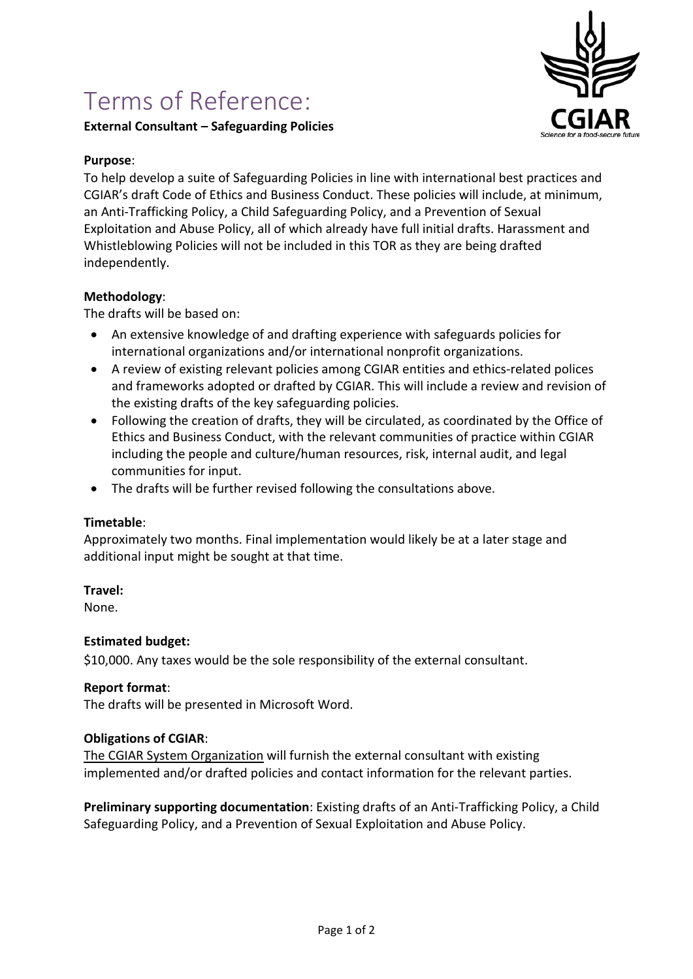# Terms of Reference:

# **External Consultant – Safeguarding Policies**



## **Purpose**:

To help develop a suite of Safeguarding Policies in line with international best practices and CGIAR's draft Code of Ethics and Business Conduct. These policies will include, at minimum, an Anti-Trafficking Policy, a Child Safeguarding Policy, and a Prevention of Sexual Exploitation and Abuse Policy, all of which already have full initial drafts. Harassment and Whistleblowing Policies will not be included in this TOR as they are being drafted independently.

## **Methodology**:

The drafts will be based on:

- An extensive knowledge of and drafting experience with safeguards policies for international organizations and/or international nonprofit organizations.
- A review of existing relevant policies among CGIAR entities and ethics-related polices and frameworks adopted or drafted by CGIAR. This will include a review and revision of the existing drafts of the key safeguarding policies.
- Following the creation of drafts, they will be circulated, as coordinated by the Office of Ethics and Business Conduct, with the relevant communities of practice within CGIAR including the people and culture/human resources, risk, internal audit, and legal communities for input.
- The drafts will be further revised following the consultations above.

#### **Timetable**:

Approximately two months. Final implementation would likely be at a later stage and additional input might be sought at that time.

#### **Travel:**

None.

#### **Estimated budget:**

\$10,000. Any taxes would be the sole responsibility of the external consultant.

#### **Report format**:

The drafts will be presented in Microsoft Word.

#### **Obligations of CGIAR**:

The CGIAR System Organization will furnish the external consultant with existing implemented and/or drafted policies and contact information for the relevant parties.

**Preliminary supporting documentation**: Existing drafts of an Anti-Trafficking Policy, a Child Safeguarding Policy, and a Prevention of Sexual Exploitation and Abuse Policy.